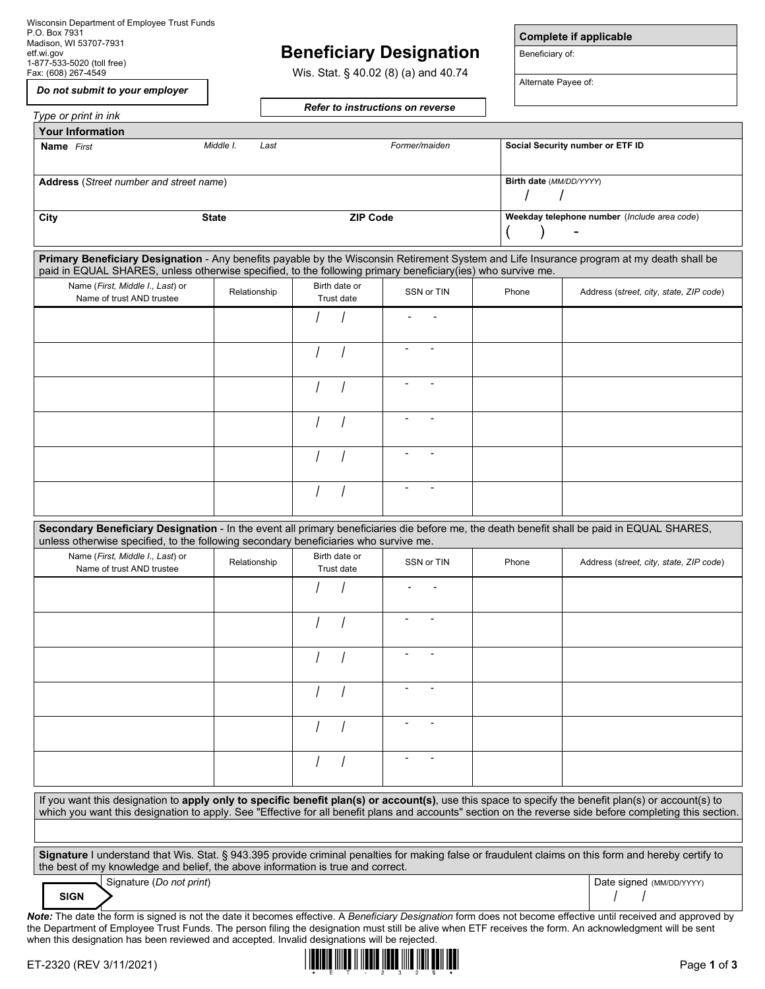Wisconsin Department of Employee Trust Funds P.O. Box 7931 Madison, WI 53707-7931 etf.wi.gov 1-877-533-5020 (toll free) Fax: (608) 267-4549

# **Beneficiary Designation**

Wis. Stat. § 40.02 (8) (a) and 40.74

*Do not submit to your employer*

*Refer to instructions on reverse*

**Complete if applicable**

Beneficiary of:

Alternate Payee of:

| Type or print in ink                                                                                        |                   |                                                   | <b>Refer to instructions on reverse</b> |       |                                                                                                                                                                                                                                                                                                                             |
|-------------------------------------------------------------------------------------------------------------|-------------------|---------------------------------------------------|-----------------------------------------|-------|-----------------------------------------------------------------------------------------------------------------------------------------------------------------------------------------------------------------------------------------------------------------------------------------------------------------------------|
| <b>Your Information</b>                                                                                     |                   |                                                   |                                         |       |                                                                                                                                                                                                                                                                                                                             |
| <b>Name</b> First                                                                                           | Middle I.<br>Last | Social Security number or ETF ID<br>Former/maiden |                                         |       |                                                                                                                                                                                                                                                                                                                             |
| Address (Street number and street name)                                                                     |                   |                                                   |                                         |       | Birth date (MM/DD/YYYY)                                                                                                                                                                                                                                                                                                     |
| City                                                                                                        | <b>State</b>      | <b>ZIP Code</b>                                   |                                         |       | Weekday telephone number (Include area code)                                                                                                                                                                                                                                                                                |
| paid in EQUAL SHARES, unless otherwise specified, to the following primary beneficiary(ies) who survive me. |                   |                                                   |                                         |       | Primary Beneficiary Designation - Any benefits payable by the Wisconsin Retirement System and Life Insurance program at my death shall be                                                                                                                                                                                   |
| Name (First, Middle I., Last) or<br>Name of trust AND trustee                                               | Relationship      | Birth date or<br>Trust date                       | SSN or TIN                              | Phone | Address (street, city, state, ZIP code)                                                                                                                                                                                                                                                                                     |
|                                                                                                             |                   |                                                   |                                         |       |                                                                                                                                                                                                                                                                                                                             |
|                                                                                                             |                   |                                                   | $\overline{\phantom{a}}$                |       |                                                                                                                                                                                                                                                                                                                             |
|                                                                                                             |                   |                                                   |                                         |       |                                                                                                                                                                                                                                                                                                                             |
|                                                                                                             |                   |                                                   |                                         |       |                                                                                                                                                                                                                                                                                                                             |
|                                                                                                             |                   |                                                   |                                         |       |                                                                                                                                                                                                                                                                                                                             |
|                                                                                                             |                   |                                                   |                                         |       |                                                                                                                                                                                                                                                                                                                             |
| unless otherwise specified, to the following secondary beneficiaries who survive me.                        |                   |                                                   |                                         |       | Secondary Beneficiary Designation - In the event all primary beneficiaries die before me, the death benefit shall be paid in EQUAL SHARES,                                                                                                                                                                                  |
| Name (First, Middle I., Last) or<br>Name of trust AND trustee                                               | Relationship      | Birth date or<br>Trust date                       | SSN or TIN                              | Phone | Address (street, city, state, ZIP code)                                                                                                                                                                                                                                                                                     |
|                                                                                                             |                   |                                                   |                                         |       |                                                                                                                                                                                                                                                                                                                             |
|                                                                                                             |                   |                                                   |                                         |       |                                                                                                                                                                                                                                                                                                                             |
|                                                                                                             |                   |                                                   |                                         |       |                                                                                                                                                                                                                                                                                                                             |
|                                                                                                             |                   |                                                   |                                         |       |                                                                                                                                                                                                                                                                                                                             |
|                                                                                                             |                   |                                                   |                                         |       |                                                                                                                                                                                                                                                                                                                             |
|                                                                                                             |                   |                                                   |                                         |       |                                                                                                                                                                                                                                                                                                                             |
|                                                                                                             |                   |                                                   |                                         |       | If you want this designation to apply only to specific benefit plan(s) or account(s), use this space to specify the benefit plan(s) or account(s) to<br>which you want this designation to apply. See "Effective for all benefit plans and accounts" section on the reverse side before completing this section.            |
|                                                                                                             |                   |                                                   |                                         |       |                                                                                                                                                                                                                                                                                                                             |
| the best of my knowledge and belief, the above information is true and correct.                             |                   |                                                   |                                         |       | Signature I understand that Wis. Stat. § 943.395 provide criminal penalties for making false or fraudulent claims on this form and hereby certify to                                                                                                                                                                        |
| Signature (Do not print)<br><b>SIGN</b>                                                                     |                   |                                                   |                                         |       | Date signed (MM/DD/YYYY)                                                                                                                                                                                                                                                                                                    |
| when this designation has been reviewed and accepted. Invalid designations will be rejected.                |                   |                                                   |                                         |       | Note: The date the form is signed is not the date it becomes effective. A Beneficiary Designation form does not become effective until received and approved by<br>the Department of Employee Trust Funds. The person filing the designation must still be alive when ETF receives the form. An acknowledgment will be sent |

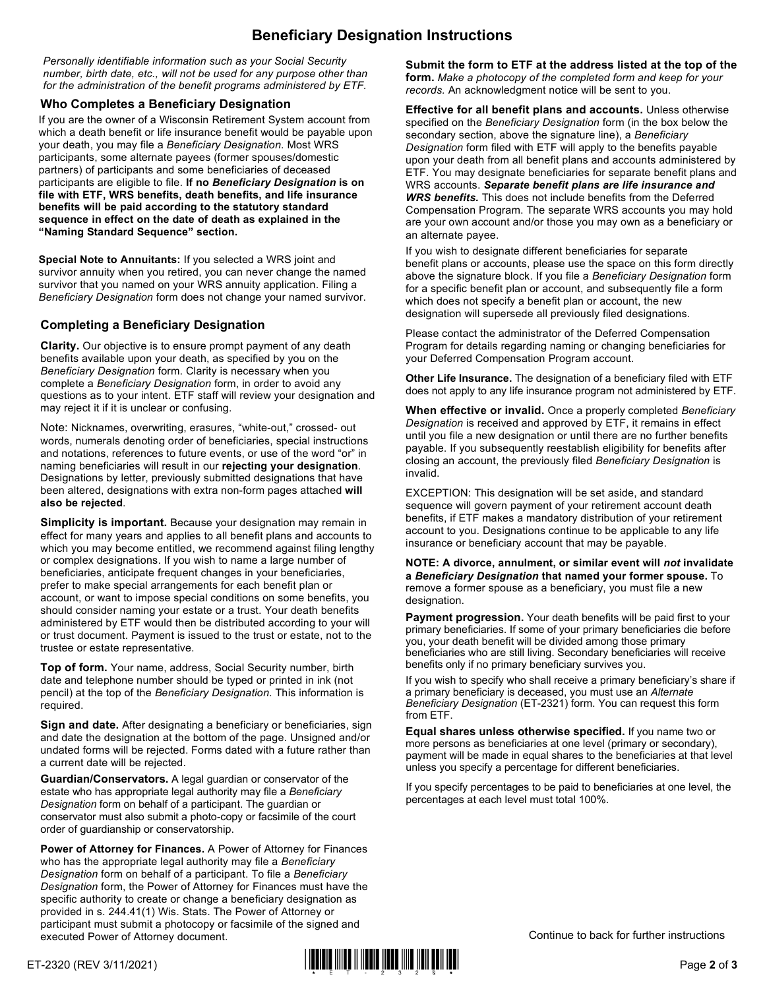# **Beneficiary Designation Instructions**

*Personally identifiable information such as your Social Security number, birth date, etc., will not be used for any purpose other than for the administration of the benefit programs administered by ETF.*

### **Who Completes a Beneficiary Designation**

If you are the owner of a Wisconsin Retirement System account from which a death benefit or life insurance benefit would be payable upon your death, you may file a *Beneficiary Designation*. Most WRS participants, some alternate payees (former spouses/domestic partners) of participants and some beneficiaries of deceased participants are eligible to file. **If no** *Beneficiary Designation* **is on file with ETF, WRS benefits, death benefits, and life insurance benefits will be paid according to the statutory standard sequence in effect on the date of death as explained in the "Naming Standard Sequence" section.**

**Special Note to Annuitants:** If you selected a WRS joint and survivor annuity when you retired, you can never change the named survivor that you named on your WRS annuity application. Filing a *Beneficiary Designation* form does not change your named survivor.

### **Completing a Beneficiary Designation**

**Clarity.** Our objective is to ensure prompt payment of any death benefits available upon your death, as specified by you on the *Beneficiary Designation* form. Clarity is necessary when you complete a *Beneficiary Designation* form, in order to avoid any questions as to your intent. ETF staff will review your designation and may reject it if it is unclear or confusing.

Note: Nicknames, overwriting, erasures, "white-out," crossed- out words, numerals denoting order of beneficiaries, special instructions and notations, references to future events, or use of the word "or" in naming beneficiaries will result in our **rejecting your designation**. Designations by letter, previously submitted designations that have been altered, designations with extra non-form pages attached **will also be rejected**.

**Simplicity is important.** Because your designation may remain in effect for many years and applies to all benefit plans and accounts to which you may become entitled, we recommend against filing lengthy or complex designations. If you wish to name a large number of beneficiaries, anticipate frequent changes in your beneficiaries, prefer to make special arrangements for each benefit plan or account, or want to impose special conditions on some benefits, you should consider naming your estate or a trust. Your death benefits administered by ETF would then be distributed according to your will or trust document. Payment is issued to the trust or estate, not to the trustee or estate representative.

**Top of form.** Your name, address, Social Security number, birth date and telephone number should be typed or printed in ink (not pencil) at the top of the *Beneficiary Designation*. This information is required.

**Sign and date.** After designating a beneficiary or beneficiaries, sign and date the designation at the bottom of the page. Unsigned and/or undated forms will be rejected. Forms dated with a future rather than a current date will be rejected.

**Guardian/Conservators.** A legal guardian or conservator of the estate who has appropriate legal authority may file a *Beneficiary Designation* form on behalf of a participant. The guardian or conservator must also submit a photo-copy or facsimile of the court order of guardianship or conservatorship.

**Power of Attorney for Finances.** A Power of Attorney for Finances who has the appropriate legal authority may file a *Beneficiary Designation* form on behalf of a participant. To file a *Beneficiary Designation* form, the Power of Attorney for Finances must have the specific authority to create or change a beneficiary designation as provided in s. 244.41(1) Wis. Stats. The Power of Attorney or participant must submit a photocopy or facsimile of the signed and executed Power of Attorney document.

**Submit the form to ETF at the address listed at the top of the form.** *Make a photocopy of the completed form and keep for your records.* An acknowledgment notice will be sent to you.

**Effective for all benefit plans and accounts.** Unless otherwise specified on the *Beneficiary Designation* form (in the box below the secondary section, above the signature line), a *Beneficiary Designation* form filed with ETF will apply to the benefits payable upon your death from all benefit plans and accounts administered by ETF. You may designate beneficiaries for separate benefit plans and WRS accounts. *Separate benefit plans are life insurance and WRS benefits.* This does not include benefits from the Deferred Compensation Program. The separate WRS accounts you may hold are your own account and/or those you may own as a beneficiary or an alternate payee.

If you wish to designate different beneficiaries for separate benefit plans or accounts, please use the space on this form directly above the signature block. If you file a *Beneficiary Designation* form for a specific benefit plan or account, and subsequently file a form which does not specify a benefit plan or account, the new designation will supersede all previously filed designations.

Please contact the administrator of the Deferred Compensation Program for details regarding naming or changing beneficiaries for your Deferred Compensation Program account.

**Other Life Insurance.** The designation of a beneficiary filed with ETF does not apply to any life insurance program not administered by ETF.

**When effective or invalid.** Once a properly completed *Beneficiary Designation* is received and approved by ETF, it remains in effect until you file a new designation or until there are no further benefits payable. If you subsequently reestablish eligibility for benefits after closing an account, the previously filed *Beneficiary Designation* is invalid.

EXCEPTION: This designation will be set aside, and standard sequence will govern payment of your retirement account death benefits, if ETF makes a mandatory distribution of your retirement account to you. Designations continue to be applicable to any life insurance or beneficiary account that may be payable.

**NOTE: A divorce, annulment, or similar event will** *not* **invalidate a** *Beneficiary Designation* **that named your former spouse.** To remove a former spouse as a beneficiary, you must file a new designation.

Payment progression. Your death benefits will be paid first to your primary beneficiaries. If some of your primary beneficiaries die before you, your death benefit will be divided among those primary beneficiaries who are still living. Secondary beneficiaries will receive benefits only if no primary beneficiary survives you.

If you wish to specify who shall receive a primary beneficiary's share if a primary beneficiary is deceased, you must use an *Alternate Beneficiary Designation* (ET-2321) form. You can request this form from ETF.

**Equal shares unless otherwise specified.** If you name two or more persons as beneficiaries at one level (primary or secondary), payment will be made in equal shares to the beneficiaries at that level unless you specify a percentage for different beneficiaries.

If you specify percentages to be paid to beneficiaries at one level, the percentages at each level must total 100%.